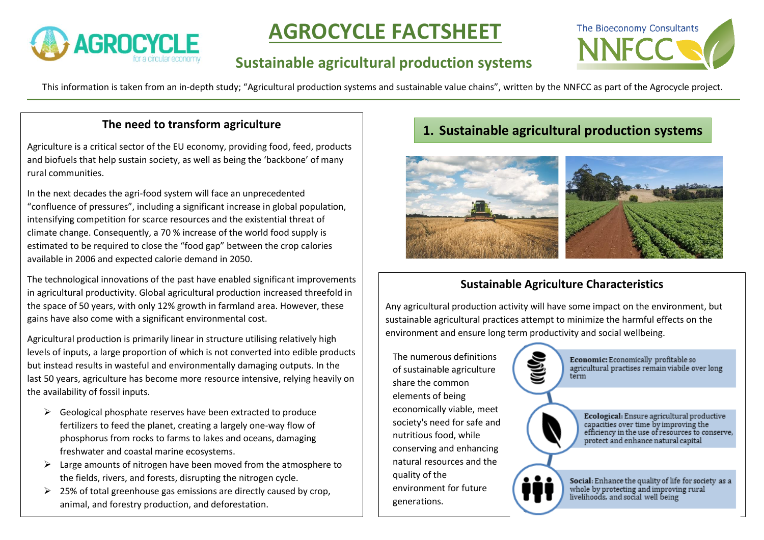

# **AGROCYCLE FACTSHEET**

## **Sustainable agricultural production systems**



This information is taken from an in-depth study; "Agricultural production systems and sustainable value chains", written by the NNFCC as part of the Agrocycle project.

Agriculture is a critical sector of the EU economy, providing food, feed, products and biofuels that help sustain society, as well as being the 'backbone' of many rural communities.

In the next decades the agri-food system will face an unprecedented "confluence of pressures", including a significant increase in global population, intensifying competition for scarce resources and the existential threat of climate change. Consequently, a 70 % increase of the world food supply is estimated to be required to close the "food gap" between the crop calories available in 2006 and expected calorie demand in 2050.

The technological innovations of the past have enabled significant improvements in agricultural productivity. Global agricultural production increased threefold in the space of 50 years, with only 12% growth in farmland area. However, these gains have also come with a significant environmental cost.

Agricultural production is primarily linear in structure utilising relatively high levels of inputs, a large proportion of which is not converted into edible products but instead results in wasteful and environmentally damaging outputs. In the last 50 years, agriculture has become more resource intensive, relying heavily on the availability of fossil inputs.

- $\triangleright$  Geological phosphate reserves have been extracted to produce fertilizers to feed the planet, creating a largely one-way flow of phosphorus from rocks to farms to lakes and oceans, damaging freshwater and coastal marine ecosystems.
- $\triangleright$  Large amounts of nitrogen have been moved from the atmosphere to the fields, rivers, and forests, disrupting the nitrogen cycle.
- $\geq$  25% of total greenhouse gas emissions are directly caused by crop, animal, and forestry production, and deforestation.

## **1.** Sustainable agriculture **The need to transform agriculture The need to transform agricultural production systems**



## **Sustainable Agriculture Characteristics**

Any agricultural production activity will have some impact on the environment, but sustainable agricultural practices attempt to minimize the harmful effects on the environment and ensure long term productivity and social wellbeing.

The numerous definitions of sustainable agriculture share the common elements of being economically viable, meet society's need for safe and nutritious food, while conserving and enhancing natural resources and the quality of the environment for future generations.

Economic: Economically profitable so agricultural practises remain viabile over long term

Ecological: Ensure agricultural productive<br>capacities over time by improving the<br>efficiency in the use of resources to conserve, protect and enhance natural capital

Social: Enhance the quality of life for society as a whole by protecting and improving rural<br>livelihoods, and social well being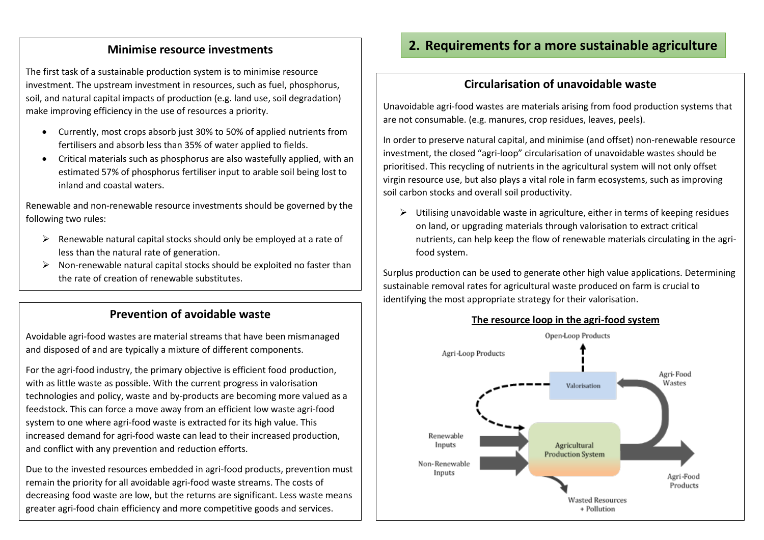The first task of a sustainable production system is to minimise resource investment. The upstream investment in resources, such as fuel, phosphorus, soil, and natural capital impacts of production (e.g. land use, soil degradation) make improving efficiency in the use of resources a priority.

- Currently, most crops absorb just 30% to 50% of applied nutrients from fertilisers and absorb less than 35% of water applied to fields.
- Critical materials such as phosphorus are also wastefully applied, with an estimated 57% of phosphorus fertiliser input to arable soil being lost to inland and coastal waters.

Renewable and non-renewable resource investments should be governed by the following two rules:

- $\triangleright$  Renewable natural capital stocks should only be employed at a rate of less than the natural rate of generation.
- $\triangleright$  Non-renewable natural capital stocks should be exploited no faster than the rate of creation of renewable substitutes.

## **Prevention of avoidable waste**

Avoidable agri-food wastes are material streams that have been mismanaged and disposed of and are typically a mixture of different components.

For the agri-food industry, the primary objective is efficient food production, with as little waste as possible. With the current progress in valorisation technologies and policy, waste and by-products are becoming more valued as a feedstock. This can force a move away from an efficient low waste agri-food system to one where agri-food waste is extracted for its high value. This increased demand for agri-food waste can lead to their increased production, and conflict with any prevention and reduction efforts.

Due to the invested resources embedded in agri-food products, prevention must remain the priority for all avoidable agri-food waste streams. The costs of decreasing food waste are low, but the returns are significant. Less waste means greater agri-food chain efficiency and more competitive goods and services.

## **Minimise resource investments 2. Requirements for a more sustainable agriculture**

## **Circularisation of unavoidable waste**

Unavoidable agri-food wastes are materials arising from food production systems that are not consumable. (e.g. manures, crop residues, leaves, peels).

In order to preserve natural capital, and minimise (and offset) non-renewable resource investment, the closed "agri-loop" circularisation of unavoidable wastes should be prioritised. This recycling of nutrients in the agricultural system will not only offset virgin resource use, but also plays a vital role in farm ecosystems, such as improving soil carbon stocks and overall soil productivity.

 $\triangleright$  Utilising unavoidable waste in agriculture, either in terms of keeping residues on land, or upgrading materials through valorisation to extract critical nutrients, can help keep the flow of renewable materials circulating in the agrifood system.

Surplus production can be used to generate other high value applications. Determining sustainable removal rates for agricultural waste produced on farm is crucial to identifying the most appropriate strategy for their valorisation.



### **The resource loop in the agri-food system**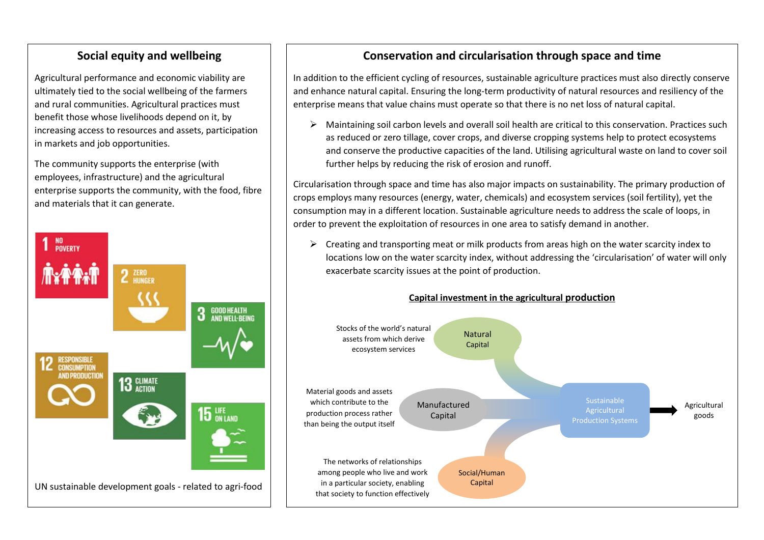## **Social equity and wellbeing**

Agricultural performance and economic viability are ultimately tied to the social wellbeing of the farmers and rural communities. Agricultural practices must benefit those whose livelihoods depend on it, by increasing access to resources and assets, participation in markets and job opportunities.

The community supports the enterprise (with employees, infrastructure) and the agricultural enterprise supports the community, with the food, fibre and materials that it can generate.



## **Conservation and circularisation through space and time**

In addition to the efficient cycling of resources, sustainable agriculture practices must also directly conserve and enhance natural capital. Ensuring the long-term productivity of natural resources and resiliency of the enterprise means that value chains must operate so that there is no net loss of natural capital.

➢ Maintaining soil carbon levels and overall soil health are critical to this conservation. Practices such as reduced or zero tillage, cover crops, and diverse cropping systems help to protect ecosystems and conserve the productive capacities of the land. Utilising agricultural waste on land to cover soil further helps by reducing the risk of erosion and runoff.

Circularisation through space and time has also major impacts on sustainability. The primary production of crops employs many resources (energy, water, chemicals) and ecosystem services (soil fertility), yet the consumption may in a different location. Sustainable agriculture needs to address the scale of loops, in order to prevent the exploitation of resources in one area to satisfy demand in another.

 $\triangleright$  Creating and transporting meat or milk products from areas high on the water scarcity index to locations low on the water scarcity index, without addressing the 'circularisation' of water will only exacerbate scarcity issues at the point of production.



### **Capital investment in the agricultural production**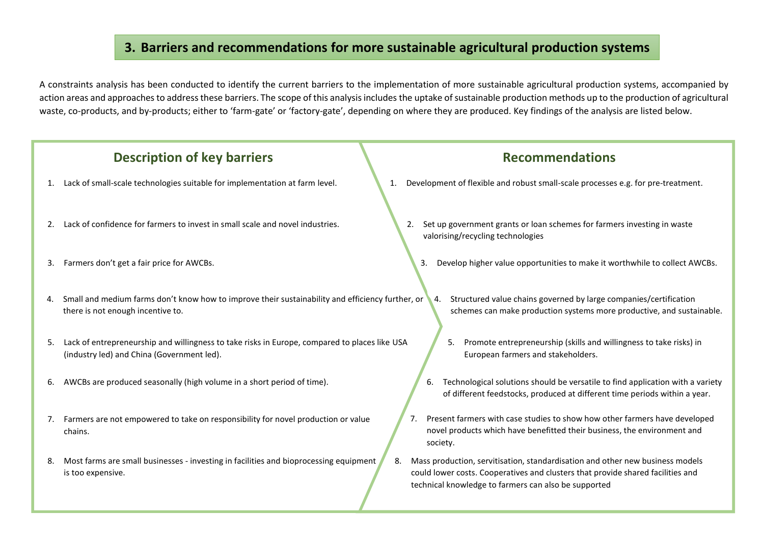## **3. Barriers and recommendations for more sustainable agricultural production systems**

A constraints analysis has been conducted to identify the current barriers to the implementation of more sustainable agricultural production systems, accompanied by action areas and approaches to address these barriers. The scope of this analysis includes the uptake of sustainable production methods up to the production of agricultural waste, co-products, and by-products; either to 'farm-gate' or 'factory-gate', depending on where they are produced. Key findings of the analysis are listed below.

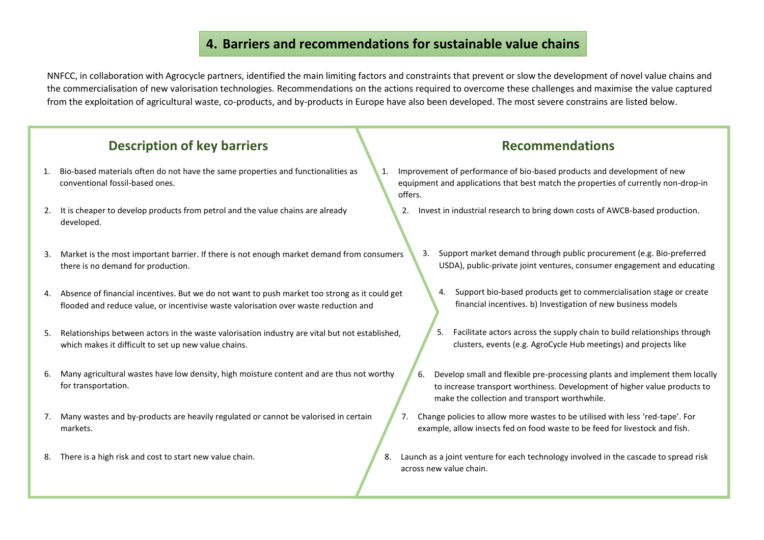## **4. Barriers and recommendations for sustainable value chains**

NNFCC, in collaboration with Agrocycle partners, identified the main limiting factors and constraints that prevent or slow the development of novel value chains and the commercialisation of new valorisation technologies. Recommendations on the actions required to overcome these challenges and maximise the value captured from the exploitation of agricultural waste, co-products, and by-products in Europe have also been developed. The most severe constrains are listed below.

## **Description of key barriers Recommendations**

- 1. Bio-based materials often do not have the same properties and functionalities as conventional fossil-based ones.
- 2. It is cheaper to develop products from petrol and the value chains are already developed.
- 3. Market is the most important barrier. If there is not enough market demand from consumers there is no demand for production.
- 4. Absence of financial incentives. But we do not want to push market too strong as it could get flooded and reduce value, or incentivise waste valorisation over waste reduction and
- 5. Relationships between actors in the waste valorisation industry are vital but not established, which makes it difficult to set up new value chains.
- 6. Many agricultural wastes have low density, high moisture content and are thus not worthy for transportation.
- 7. Many wastes and by-products are heavily regulated or cannot be valorised in certain markets.
- 8. There is a high risk and cost to start new value chain.

- 1. Improvement of performance of bio-based products and development of new equipment and applications that best match the properties of currently non-drop-in offers.
	- 2. Invest in industrial research to bring down costs of AWCB-based production.
		- 3. Support market demand through public procurement (e.g. Bio-preferred USDA), public-private joint ventures, consumer engagement and educating
			- 4. Support bio-based products get to commercialisation stage or create financial incentives. b) Investigation of new business models
			- 5. Facilitate actors across the supply chain to build relationships through clusters, events (e.g. AgroCycle Hub meetings) and projects like
		- 6. Develop small and flexible pre-processing plants and implement them locally to increase transport worthiness. Development of higher value products to make the collection and transport worthwhile.
	- 7. Change policies to allow more wastes to be utilised with less 'red-tape'. For example, allow insects fed on food waste to be feed for livestock and fish.
- 8. Launch as a joint venture for each technology involved in the cascade to spread risk across new value chain.